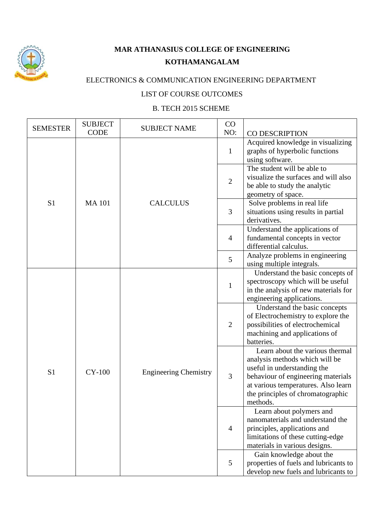

## **MAR ATHANASIUS COLLEGE OF ENGINEERING KOTHAMANGALAM**

## ELECTRONICS & COMMUNICATION ENGINEERING DEPARTMENT

## LIST OF COURSE OUTCOMES

## B. TECH 2015 SCHEME

| <b>SEMESTER</b> | <b>SUBJECT</b><br><b>CODE</b> | <b>SUBJECT NAME</b>          | CO<br>NO:      | CO DESCRIPTION                                                                                                                                                                                                                 |
|-----------------|-------------------------------|------------------------------|----------------|--------------------------------------------------------------------------------------------------------------------------------------------------------------------------------------------------------------------------------|
|                 |                               |                              | $\mathbf{1}$   | Acquired knowledge in visualizing<br>graphs of hyperbolic functions<br>using software.                                                                                                                                         |
|                 |                               |                              | $\mathbf{2}$   | The student will be able to<br>visualize the surfaces and will also<br>be able to study the analytic<br>geometry of space.                                                                                                     |
| S <sub>1</sub>  | <b>MA101</b>                  | <b>CALCULUS</b>              | 3              | Solve problems in real life<br>situations using results in partial<br>derivatives.                                                                                                                                             |
|                 |                               |                              | $\overline{4}$ | Understand the applications of<br>fundamental concepts in vector<br>differential calculus.                                                                                                                                     |
|                 |                               |                              | 5              | Analyze problems in engineering<br>using multiple integrals.                                                                                                                                                                   |
|                 |                               |                              | $\mathbf{1}$   | Understand the basic concepts of<br>spectroscopy which will be useful<br>in the analysis of new materials for<br>engineering applications.                                                                                     |
| S <sub>1</sub>  | <b>CY-100</b>                 | <b>Engineering Chemistry</b> | $\overline{2}$ | Understand the basic concepts<br>of Electrochemistry to explore the<br>possibilities of electrochemical<br>machining and applications of<br>batteries.                                                                         |
|                 |                               |                              | 3              | Learn about the various thermal<br>analysis methods which will be<br>useful in understanding the<br>behaviour of engineering materials<br>at various temperatures. Also learn<br>the principles of chromatographic<br>methods. |
|                 |                               |                              | 4              | Learn about polymers and<br>nanomaterials and understand the<br>principles, applications and<br>limitations of these cutting-edge<br>materials in various designs.                                                             |
|                 |                               |                              | 5              | Gain knowledge about the<br>properties of fuels and lubricants to<br>develop new fuels and lubricants to                                                                                                                       |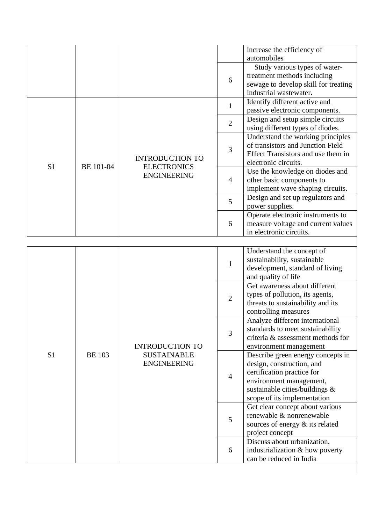|                |               |                        |                | increase the efficiency of           |
|----------------|---------------|------------------------|----------------|--------------------------------------|
|                |               |                        |                | automobiles                          |
|                |               |                        |                | Study various types of water-        |
|                |               |                        | 6              | treatment methods including          |
|                |               |                        |                | sewage to develop skill for treating |
|                |               |                        |                | industrial wastewater.               |
|                |               |                        | $\mathbf{1}$   | Identify different active and        |
|                |               |                        |                | passive electronic components.       |
|                |               |                        | $\overline{2}$ | Design and setup simple circuits     |
|                |               |                        |                | using different types of diodes.     |
|                |               |                        |                | Understand the working principles    |
|                |               |                        | 3              | of transistors and Junction Field    |
|                |               | <b>INTRODUCTION TO</b> |                | Effect Transistors and use them in   |
| S <sub>1</sub> | BE 101-04     | <b>ELECTRONICS</b>     |                | electronic circuits.                 |
|                |               | <b>ENGINEERING</b>     |                | Use the knowledge on diodes and      |
|                |               |                        | $\overline{4}$ | other basic components to            |
|                |               |                        |                | implement wave shaping circuits.     |
|                |               |                        | 5              | Design and set up regulators and     |
|                |               |                        |                | power supplies.                      |
|                |               |                        |                | Operate electronic instruments to    |
|                |               |                        | 6              | measure voltage and current values   |
|                |               |                        |                | in electronic circuits.              |
|                |               |                        |                |                                      |
|                |               |                        |                | Understand the concept of            |
|                |               |                        | $\mathbf{1}$   | sustainability, sustainable          |
|                |               |                        |                | development, standard of living      |
|                |               |                        |                | and quality of life                  |
|                |               |                        |                | Get awareness about different        |
|                |               |                        | $\overline{2}$ | types of pollution, its agents,      |
|                |               |                        |                | threats to sustainability and its    |
|                |               |                        |                | controlling measures                 |
|                |               |                        |                | Analyze different international      |
|                |               |                        | 3              | standards to meet sustainability     |
|                |               |                        |                | criteria & assessment methods for    |
|                |               | <b>INTRODUCTION TO</b> |                | environment management               |
| S <sub>1</sub> | <b>BE</b> 103 | <b>SUSTAINABLE</b>     |                | Describe green energy concepts in    |
|                |               | <b>ENGINEERING</b>     |                | design, construction, and            |
|                |               |                        | $\overline{4}$ | certification practice for           |
|                |               |                        |                | environment management,              |
|                |               |                        |                | sustainable cities/buildings &       |
|                |               |                        |                | scope of its implementation          |
|                |               |                        |                | Get clear concept about various      |
|                |               |                        | 5              | renewable & nonrenewable             |
|                |               |                        |                | sources of energy & its related      |
|                |               |                        |                | project concept                      |
|                |               |                        | 6              | Discuss about urbanization,          |
|                |               |                        |                | industrialization & how poverty      |
|                |               |                        |                | can be reduced in India              |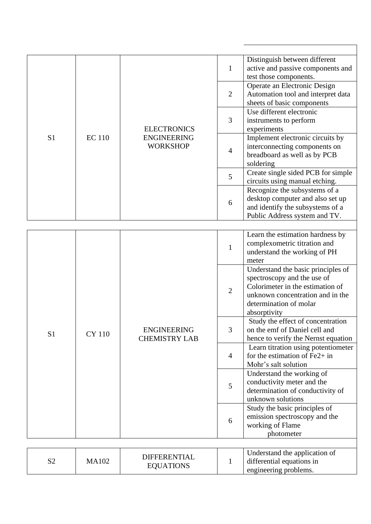|                |               |                      |                | Distinguish between different                                          |
|----------------|---------------|----------------------|----------------|------------------------------------------------------------------------|
|                |               |                      | $\mathbf{1}$   | active and passive components and                                      |
|                |               |                      |                | test those components.                                                 |
|                |               |                      |                | Operate an Electronic Design                                           |
|                |               |                      | $\overline{2}$ | Automation tool and interpret data<br>sheets of basic components       |
|                |               |                      |                | Use different electronic                                               |
|                |               |                      | 3              | instruments to perform                                                 |
|                |               | <b>ELECTRONICS</b>   |                | experiments                                                            |
| S1             | <b>EC</b> 110 | <b>ENGINEERING</b>   |                | Implement electronic circuits by                                       |
|                |               | <b>WORKSHOP</b>      |                | interconnecting components on                                          |
|                |               |                      | $\overline{4}$ | breadboard as well as by PCB                                           |
|                |               |                      |                | soldering                                                              |
|                |               |                      | 5              | Create single sided PCB for simple                                     |
|                |               |                      |                | circuits using manual etching.                                         |
|                |               |                      |                | Recognize the subsystems of a                                          |
|                |               |                      | 6              | desktop computer and also set up                                       |
|                |               |                      |                | and identify the subsystems of a                                       |
|                |               |                      |                | Public Address system and TV.                                          |
|                |               |                      |                |                                                                        |
|                | <b>CY 110</b> |                      | 1              | Learn the estimation hardness by                                       |
|                |               |                      |                | complexometric titration and<br>understand the working of PH           |
|                |               |                      |                | meter                                                                  |
|                |               |                      |                | Understand the basic principles of                                     |
|                |               |                      | $\overline{2}$ | spectroscopy and the use of                                            |
|                |               |                      |                | Colorimeter in the estimation of                                       |
|                |               |                      |                | unknown concentration and in the                                       |
|                |               |                      |                | determination of molar                                                 |
|                |               |                      |                | absorptivity                                                           |
|                |               | <b>ENGINEERING</b>   |                | Study the effect of concentration                                      |
| S <sub>1</sub> |               |                      | 3              | on the emf of Daniel cell and                                          |
|                |               | <b>CHEMISTRY LAB</b> |                | hence to verify the Nernst equation                                    |
|                |               |                      | $\overline{4}$ | Learn titration using potentiometer<br>for the estimation of $Fe2+$ in |
|                |               |                      |                | Mohr's salt solution                                                   |
|                |               |                      |                | Understand the working of                                              |
|                |               |                      |                | conductivity meter and the                                             |
|                |               |                      | 5              | determination of conductivity of                                       |
|                |               |                      |                | unknown solutions                                                      |
|                |               |                      |                | Study the basic principles of                                          |
|                |               |                      | 6              | emission spectroscopy and the                                          |
|                |               |                      |                | working of Flame                                                       |
|                |               |                      |                | photometer                                                             |
|                |               |                      |                |                                                                        |
|                |               | <b>DIFFERENTIAL</b>  |                | Understand the application of                                          |
| S <sub>2</sub> | <b>MA102</b>  | <b>EQUATIONS</b>     | 1              | differential equations in                                              |
|                |               |                      |                | engineering problems.                                                  |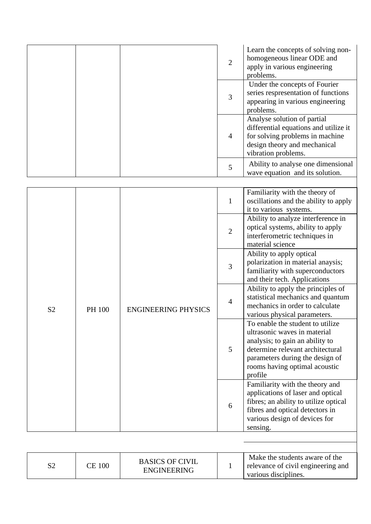|                |                                                        |                                              | $\overline{2}$                                                                                                                                                                                                         | Learn the concepts of solving non-<br>homogeneous linear ODE and<br>apply in various engineering<br>problems.                                                                                 |
|----------------|--------------------------------------------------------|----------------------------------------------|------------------------------------------------------------------------------------------------------------------------------------------------------------------------------------------------------------------------|-----------------------------------------------------------------------------------------------------------------------------------------------------------------------------------------------|
|                |                                                        |                                              | 3                                                                                                                                                                                                                      | Under the concepts of Fourier<br>series respresentation of functions<br>appearing in various engineering<br>problems.                                                                         |
|                |                                                        |                                              | $\overline{4}$                                                                                                                                                                                                         | Analyse solution of partial<br>differential equations and utilize it<br>for solving problems in machine<br>design theory and mechanical<br>vibration problems.                                |
|                |                                                        |                                              | 5                                                                                                                                                                                                                      | Ability to analyse one dimensional<br>wave equation and its solution.                                                                                                                         |
|                |                                                        |                                              | $\mathbf{1}$                                                                                                                                                                                                           | Familiarity with the theory of<br>oscillations and the ability to apply<br>it to various systems.                                                                                             |
|                | S <sub>2</sub><br>PH 100<br><b>ENGINEERING PHYSICS</b> |                                              | $\overline{2}$                                                                                                                                                                                                         | Ability to analyze interference in<br>optical systems, ability to apply<br>interferometric techniques in<br>material science                                                                  |
|                |                                                        |                                              | 3                                                                                                                                                                                                                      | Ability to apply optical<br>polarization in material anaysis;<br>familiarity with superconductors<br>and their tech. Applications                                                             |
|                |                                                        |                                              | $\overline{4}$                                                                                                                                                                                                         | Ability to apply the principles of<br>statistical mechanics and quantum<br>mechanics in order to calculate<br>various physical parameters.                                                    |
|                |                                                        | 5                                            | To enable the student to utilize<br>ultrasonic waves in material<br>analysis; to gain an ability to<br>determine relevant architectural<br>parameters during the design of<br>rooms having optimal acoustic<br>profile |                                                                                                                                                                                               |
|                |                                                        |                                              | 6                                                                                                                                                                                                                      | Familiarity with the theory and<br>applications of laser and optical<br>fibres; an ability to utilize optical<br>fibres and optical detectors in<br>various design of devices for<br>sensing. |
|                |                                                        |                                              |                                                                                                                                                                                                                        |                                                                                                                                                                                               |
| S <sub>2</sub> | <b>CE 100</b>                                          | <b>BASICS OF CIVIL</b><br><b>ENGINEERING</b> | $\mathbf{1}$                                                                                                                                                                                                           | Make the students aware of the<br>relevance of civil engineering and<br>various disciplines.                                                                                                  |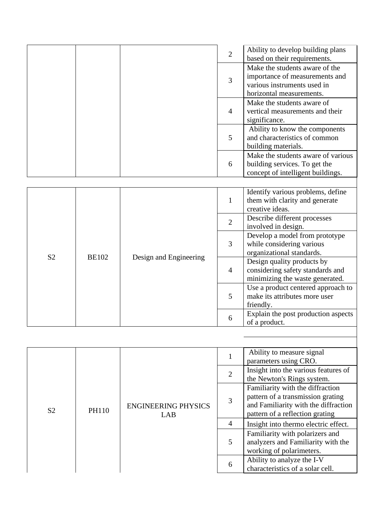|                |              |                        | $\overline{2}$ | Ability to develop building plans<br>based on their requirements.                                                           |
|----------------|--------------|------------------------|----------------|-----------------------------------------------------------------------------------------------------------------------------|
|                |              |                        | 3              | Make the students aware of the<br>importance of measurements and<br>various instruments used in<br>horizontal measurements. |
|                |              |                        | $\overline{4}$ | Make the students aware of<br>vertical measurements and their<br>significance.                                              |
|                |              |                        | 5              | Ability to know the components<br>and characteristics of common<br>building materials.                                      |
|                |              |                        | 6              | Make the students aware of various<br>building services. To get the<br>concept of intelligent buildings.                    |
|                |              |                        |                |                                                                                                                             |
|                |              |                        | $\mathbf{1}$   | Identify various problems, define<br>them with clarity and generate<br>creative ideas.                                      |
|                | <b>BE102</b> | Design and Engineering | $\overline{2}$ | Describe different processes<br>involved in design.                                                                         |
|                |              |                        | 3              | Develop a model from prototype<br>while considering various<br>organizational standards.                                    |
| S <sub>2</sub> |              |                        | $\overline{4}$ | Design quality products by<br>considering safety standards and<br>minimizing the waste generated.                           |
|                |              |                        | 5              | Use a product centered approach to<br>make its attributes more user<br>friendly.                                            |
|                |              |                        | 6              | Explain the post production aspects<br>of a product.                                                                        |

|                |                                            |   | Ability to measure signal<br>parameters using CRO.                                                                                               |                                                                                                   |
|----------------|--------------------------------------------|---|--------------------------------------------------------------------------------------------------------------------------------------------------|---------------------------------------------------------------------------------------------------|
|                |                                            |   | $\overline{2}$                                                                                                                                   | Insight into the various features of<br>the Newton's Rings system.                                |
| S <sub>2</sub> | <b>ENGINEERING PHYSICS</b><br>PH110<br>LAB | 3 | Familiarity with the diffraction<br>pattern of a transmission grating<br>and Familiarity with the diffraction<br>pattern of a reflection grating |                                                                                                   |
|                |                                            |   | $\overline{4}$                                                                                                                                   | Insight into thermo electric effect.                                                              |
|                |                                            |   | 5                                                                                                                                                | Familiarity with polarizers and<br>analyzers and Familiarity with the<br>working of polarimeters. |
|                |                                            | 6 | Ability to analyze the I-V<br>characteristics of a solar cell.                                                                                   |                                                                                                   |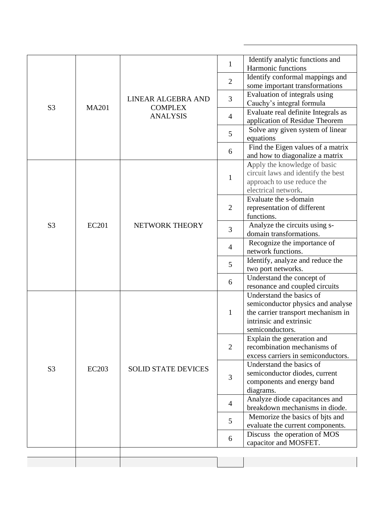|                |              |                            |                | Identify analytic functions and                                         |
|----------------|--------------|----------------------------|----------------|-------------------------------------------------------------------------|
|                |              |                            | $\mathbf{1}$   | Harmonic functions                                                      |
|                |              |                            | $\overline{2}$ | Identify conformal mappings and                                         |
|                |              |                            |                | some important transformations<br>Evaluation of integrals using         |
|                |              | LINEAR ALGEBRA AND         | 3              | Cauchy's integral formula                                               |
| S <sub>3</sub> | <b>MA201</b> | <b>COMPLEX</b>             |                | Evaluate real definite Integrals as                                     |
|                |              | <b>ANALYSIS</b>            | $\overline{4}$ | application of Residue Theorem                                          |
|                |              |                            | 5              | Solve any given system of linear                                        |
|                |              |                            |                | equations                                                               |
|                |              |                            | 6              | Find the Eigen values of a matrix<br>and how to diagonalize a matrix    |
|                |              |                            |                | Apply the knowledge of basic                                            |
|                |              |                            |                | circuit laws and identify the best                                      |
|                |              |                            | $\mathbf{1}$   | approach to use reduce the                                              |
|                |              |                            |                | electrical network.                                                     |
|                |              |                            | $\overline{2}$ | Evaluate the s-domain                                                   |
|                | <b>EC201</b> | NETWORK THEORY             |                | representation of different<br>functions.                               |
| S <sub>3</sub> |              |                            |                | Analyze the circuits using s-                                           |
|                |              |                            | 3              | domain transformations.                                                 |
|                |              |                            | 4              | Recognize the importance of                                             |
|                |              |                            | 5              | network functions.                                                      |
|                |              |                            |                | Identify, analyze and reduce the<br>two port networks.                  |
|                |              |                            |                | Understand the concept of                                               |
|                |              |                            | 6              | resonance and coupled circuits                                          |
|                |              |                            |                | Understand the basics of                                                |
|                |              |                            | $\mathbf{1}$   | semiconductor physics and analyse<br>the carrier transport mechanism in |
|                |              |                            |                | intrinsic and extrinsic                                                 |
|                |              |                            |                | semiconductors.                                                         |
|                |              |                            |                | Explain the generation and                                              |
|                |              |                            | 2              | recombination mechanisms of                                             |
|                |              |                            |                | excess carriers in semiconductors.                                      |
| S <sub>3</sub> | <b>EC203</b> | <b>SOLID STATE DEVICES</b> |                | Understand the basics of<br>semiconductor diodes, current               |
|                |              |                            | 3              | components and energy band                                              |
|                |              |                            |                | diagrams.                                                               |
|                |              |                            | $\overline{4}$ | Analyze diode capacitances and                                          |
|                |              |                            |                | breakdown mechanisms in diode.                                          |
|                |              |                            | 5              | Memorize the basics of bits and                                         |
|                |              |                            |                | evaluate the current components.<br>Discuss the operation of MOS        |
|                |              |                            | 6              | capacitor and MOSFET.                                                   |
|                |              |                            |                |                                                                         |
|                |              |                            |                |                                                                         |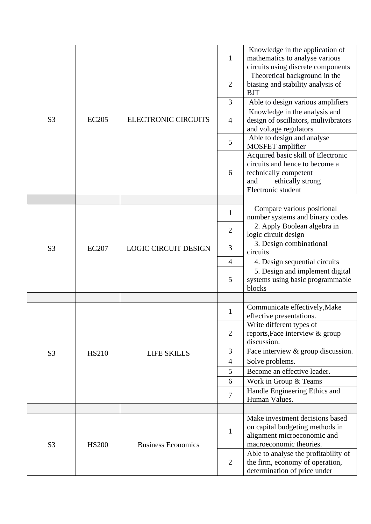|                |              |                             | $\mathbf{1}$   | Knowledge in the application of<br>mathematics to analyse various<br>circuits using discrete components                                        |
|----------------|--------------|-----------------------------|----------------|------------------------------------------------------------------------------------------------------------------------------------------------|
|                |              |                             | $\overline{2}$ | Theoretical background in the<br>biasing and stability analysis of<br><b>BJT</b>                                                               |
|                |              |                             | 3              | Able to design various amplifiers                                                                                                              |
|                |              |                             |                | Knowledge in the analysis and                                                                                                                  |
| S <sub>3</sub> | <b>EC205</b> | <b>ELECTRONIC CIRCUITS</b>  | $\overline{4}$ | design of oscillators, mulivibrators<br>and voltage regulators                                                                                 |
|                |              |                             | 5              | Able to design and analyse<br>MOSFET amplifier                                                                                                 |
|                |              |                             | 6              | Acquired basic skill of Electronic<br>circuits and hence to become a<br>technically competent<br>and<br>ethically strong<br>Electronic student |
|                |              |                             |                |                                                                                                                                                |
|                |              | <b>LOGIC CIRCUIT DESIGN</b> | $\mathbf{1}$   | Compare various positional<br>number systems and binary codes                                                                                  |
|                | <b>EC207</b> |                             | $\mathbf{2}$   | 2. Apply Boolean algebra in<br>logic circuit design                                                                                            |
| S <sub>3</sub> |              |                             | 3              | 3. Design combinational<br>circuits                                                                                                            |
|                |              |                             | $\overline{4}$ | 4. Design sequential circuits                                                                                                                  |
|                |              |                             | 5              | 5. Design and implement digital<br>systems using basic programmable<br>blocks                                                                  |
|                |              |                             |                |                                                                                                                                                |
|                |              |                             | $\mathbf{1}$   | Communicate effectively, Make<br>effective presentations.                                                                                      |
|                |              |                             | $\overline{2}$ | Write different types of<br>reports, Face interview & group<br>discussion.                                                                     |
| S <sub>3</sub> | <b>HS210</b> | <b>LIFE SKILLS</b>          | 3              | Face interview & group discussion.                                                                                                             |
|                |              |                             | $\overline{4}$ | Solve problems.                                                                                                                                |
|                |              |                             | 5              | Become an effective leader.                                                                                                                    |
|                |              |                             | 6              | Work in Group & Teams                                                                                                                          |
|                |              |                             | $\tau$         | Handle Engineering Ethics and<br>Human Values.                                                                                                 |
|                |              |                             |                |                                                                                                                                                |
| S <sub>3</sub> | <b>HS200</b> | <b>Business Economics</b>   | $\mathbf{1}$   | Make investment decisions based<br>on capital budgeting methods in<br>alignment microeconomic and<br>macroeconomic theories.                   |
|                |              |                             | $\overline{2}$ | Able to analyse the profitability of<br>the firm, economy of operation,<br>determination of price under                                        |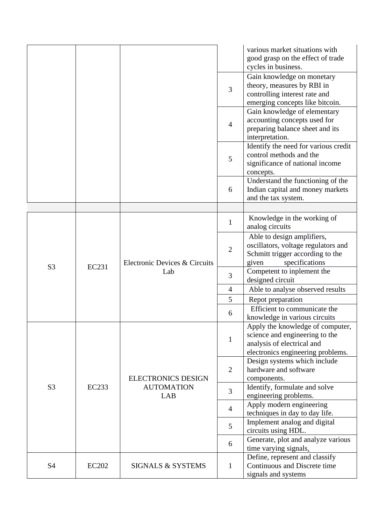|                |              |                                      |                                                           | various market situations with<br>good grasp on the effect of trade<br>cycles in business.                                            |
|----------------|--------------|--------------------------------------|-----------------------------------------------------------|---------------------------------------------------------------------------------------------------------------------------------------|
|                |              |                                      | 3                                                         | Gain knowledge on monetary<br>theory, measures by RBI in<br>controlling interest rate and<br>emerging concepts like bitcoin.          |
|                |              |                                      | $\overline{4}$                                            | Gain knowledge of elementary<br>accounting concepts used for<br>preparing balance sheet and its<br>interpretation.                    |
|                |              |                                      | 5                                                         | Identify the need for various credit<br>control methods and the<br>significance of national income<br>concepts.                       |
|                |              |                                      | 6                                                         | Understand the functioning of the<br>Indian capital and money markets<br>and the tax system.                                          |
|                |              |                                      | $\mathbf{1}$                                              | Knowledge in the working of<br>analog circuits                                                                                        |
|                |              | Electronic Devices & Circuits<br>Lab | $\overline{2}$                                            | Able to design amplifiers,<br>oscillators, voltage regulators and<br>Schmitt trigger according to the<br>specifications<br>given      |
| S <sub>3</sub> | EC231        |                                      | 3                                                         | Competent to inplement the<br>designed circuit                                                                                        |
|                |              |                                      | $\overline{4}$                                            | Able to analyse observed results                                                                                                      |
|                |              |                                      | 5                                                         | Repot preparation                                                                                                                     |
|                |              |                                      | 6                                                         | Efficient to communicate the<br>knowledge in various circuits                                                                         |
|                |              |                                      | $\mathbf{1}$                                              | Apply the knowledge of computer,<br>science and engineering to the<br>analysis of electrical and<br>electronics engineering problems. |
|                |              | <b>ELECTRONICS DESIGN</b>            | $\overline{2}$                                            | Design systems which include<br>hardware and software<br>components.                                                                  |
| S <sub>3</sub> | <b>EC233</b> | <b>AUTOMATION</b><br>LAB             | 3                                                         | Identify, formulate and solve<br>engineering problems.                                                                                |
|                |              |                                      | $\overline{4}$                                            | Apply modern engineering                                                                                                              |
|                |              |                                      | 5                                                         | techniques in day to day life.<br>Implement analog and digital                                                                        |
|                |              | 6                                    | circuits using HDL.<br>Generate, plot and analyze various |                                                                                                                                       |
|                |              |                                      |                                                           | time varying signals.                                                                                                                 |
| S <sub>4</sub> | <b>EC202</b> | <b>SIGNALS &amp; SYSTEMS</b>         | $\mathbf{1}$                                              | Define, represent and classify<br>Continuous and Discrete time<br>signals and systems                                                 |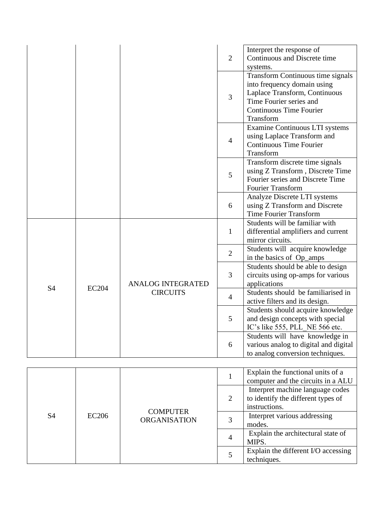|                |              |                                             | $\overline{2}$ | Interpret the response of<br>Continuous and Discrete time<br>systems.                                                                                                       |
|----------------|--------------|---------------------------------------------|----------------|-----------------------------------------------------------------------------------------------------------------------------------------------------------------------------|
|                |              |                                             | 3              | Transform Continuous time signals<br>into frequency domain using<br>Laplace Transform, Continuous<br>Time Fourier series and<br><b>Continuous Time Fourier</b><br>Transform |
|                |              |                                             | $\overline{4}$ | Examine Continuous LTI systems<br>using Laplace Transform and<br><b>Continuous Time Fourier</b><br>Transform                                                                |
|                |              |                                             | 5              | Transform discrete time signals<br>using Z Transform, Discrete Time<br>Fourier series and Discrete Time<br><b>Fourier Transform</b>                                         |
|                |              |                                             | 6              | Analyze Discrete LTI systems<br>using Z Transform and Discrete<br><b>Time Fourier Transform</b>                                                                             |
|                | <b>EC204</b> | <b>ANALOG INTEGRATED</b><br><b>CIRCUITS</b> | $\mathbf{1}$   | Students will be familiar with<br>differential amplifiers and current<br>mirror circuits.                                                                                   |
|                |              |                                             | $\overline{2}$ | Students will acquire knowledge<br>in the basics of Op_amps                                                                                                                 |
|                |              |                                             | 3              | Students should be able to design<br>circuits using op-amps for various<br>applications                                                                                     |
| <b>S4</b>      |              |                                             | $\overline{4}$ | Students should be familiarised in<br>active filters and its design.                                                                                                        |
|                |              |                                             | 5              | Students should acquire knowledge<br>and design concepts with special<br>IC's like 555, PLL NE 566 etc.                                                                     |
|                |              |                                             | 6              | Students will have knowledge in<br>various analog to digital and digital<br>to analog conversion techniques.                                                                |
|                |              |                                             |                | Explain the functional units of a                                                                                                                                           |
| S <sub>4</sub> |              |                                             | $\mathbf{1}$   | computer and the circuits in a ALU                                                                                                                                          |
|                |              |                                             | $\overline{2}$ | Interpret machine language codes<br>to identify the different types of<br>instructions.                                                                                     |
|                | <b>EC206</b> | <b>COMPUTER</b><br><b>ORGANISATION</b>      | 3              | Interpret various addressing                                                                                                                                                |
|                |              |                                             | 4              | modes.<br>Explain the architectural state of<br>MIPS.                                                                                                                       |
|                |              |                                             | 5              | Explain the different I/O accessing<br>techniques.                                                                                                                          |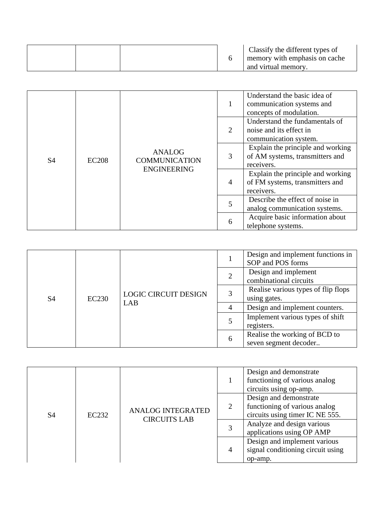|  |  | Classify the different types of<br>memory with emphasis on cache<br>and virtual memory. |
|--|--|-----------------------------------------------------------------------------------------|
|--|--|-----------------------------------------------------------------------------------------|

|                                                                       |                      | $\mathbf{1}$ | Understand the basic idea of<br>communication systems and<br>concepts of modulation. |                                                                                    |
|-----------------------------------------------------------------------|----------------------|--------------|--------------------------------------------------------------------------------------|------------------------------------------------------------------------------------|
| <b>ANALOG</b><br>S <sub>4</sub><br><b>EC208</b><br><b>ENGINEERING</b> |                      |              | 2                                                                                    | Understand the fundamentals of<br>noise and its effect in<br>communication system. |
|                                                                       | <b>COMMUNICATION</b> | 3            | Explain the principle and working<br>of AM systems, transmitters and<br>receivers.   |                                                                                    |
|                                                                       |                      |              | $\overline{4}$                                                                       | Explain the principle and working<br>of FM systems, transmitters and<br>receivers. |
|                                                                       |                      |              | 5                                                                                    | Describe the effect of noise in<br>analog communication systems.                   |
|                                                                       |                      | 6            | Acquire basic information about<br>telephone systems.                                |                                                                                    |

| S <sub>4</sub> |              |                             |  | Design and implement functions in<br>SOP and POS forms                                                                                                                                                                                                        |  |  |
|----------------|--------------|-----------------------------|--|---------------------------------------------------------------------------------------------------------------------------------------------------------------------------------------------------------------------------------------------------------------|--|--|
|                |              |                             |  | Design and implement<br>combinational circuits<br>Realise various types of flip flops<br>using gates.<br>Design and implement counters.<br>4<br>Implement various types of shift<br>registers.<br>Realise the working of BCD to<br>6<br>seven segment decoder |  |  |
|                | <b>EC230</b> | <b>LOGIC CIRCUIT DESIGN</b> |  |                                                                                                                                                                                                                                                               |  |  |
|                |              | LAB                         |  |                                                                                                                                                                                                                                                               |  |  |
|                |              |                             |  |                                                                                                                                                                                                                                                               |  |  |
|                |              |                             |  |                                                                                                                                                                                                                                                               |  |  |

| S <sub>4</sub> |       |                                                 | Design and demonstrate<br>functioning of various analog<br>circuits using op-amp.<br>Design and demonstrate |                                                                  |
|----------------|-------|-------------------------------------------------|-------------------------------------------------------------------------------------------------------------|------------------------------------------------------------------|
|                | EC232 | <b>ANALOG INTEGRATED</b><br><b>CIRCUITS LAB</b> | 2                                                                                                           | functioning of various analog<br>circuits using timer IC NE 555. |
|                |       |                                                 |                                                                                                             | Analyze and design various<br>applications using OP AMP          |
|                |       | $\overline{4}$                                  | Design and implement various<br>signal conditioning circuit using<br>op-amp.                                |                                                                  |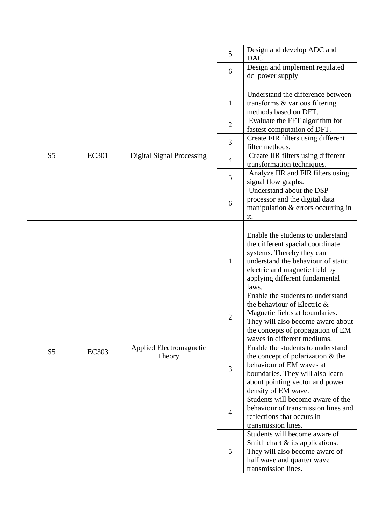|                |              |                                   | 5                                                                                                                                                                                                                         | Design and develop ADC and<br><b>DAC</b>                                                                                                                                                                     |  |  |
|----------------|--------------|-----------------------------------|---------------------------------------------------------------------------------------------------------------------------------------------------------------------------------------------------------------------------|--------------------------------------------------------------------------------------------------------------------------------------------------------------------------------------------------------------|--|--|
|                |              |                                   | 6                                                                                                                                                                                                                         | Design and implement regulated<br>dc power supply                                                                                                                                                            |  |  |
|                |              |                                   |                                                                                                                                                                                                                           |                                                                                                                                                                                                              |  |  |
|                |              |                                   | 1                                                                                                                                                                                                                         | Understand the difference between<br>transforms & various filtering<br>methods based on DFT.                                                                                                                 |  |  |
|                |              |                                   | $\overline{2}$                                                                                                                                                                                                            | Evaluate the FFT algorithm for<br>fastest computation of DFT.                                                                                                                                                |  |  |
|                |              |                                   | 3                                                                                                                                                                                                                         | Create FIR filters using different<br>filter methods.                                                                                                                                                        |  |  |
| S <sub>5</sub> | <b>EC301</b> | <b>Digital Signal Processing</b>  | $\overline{4}$                                                                                                                                                                                                            | Create IIR filters using different<br>transformation techniques.                                                                                                                                             |  |  |
|                |              |                                   | Analyze IIR and FIR filters using<br>5<br>signal flow graphs.<br>Understand about the DSP                                                                                                                                 |                                                                                                                                                                                                              |  |  |
|                |              |                                   | 6                                                                                                                                                                                                                         | processor and the digital data<br>manipulation & errors occurring in<br>it.                                                                                                                                  |  |  |
|                |              |                                   |                                                                                                                                                                                                                           |                                                                                                                                                                                                              |  |  |
| S <sub>5</sub> |              |                                   | 1                                                                                                                                                                                                                         | Enable the students to understand<br>the different spacial coordinate<br>systems. Thereby they can<br>understand the behaviour of static<br>electric and magnetic field by<br>applying different fundamental |  |  |
|                |              |                                   | laws.<br>Enable the students to understand<br>the behaviour of Electric &<br>Magnetic fields at boundaries.<br>2<br>They will also become aware about<br>the concepts of propagation of EM<br>waves in different mediums. |                                                                                                                                                                                                              |  |  |
|                | <b>EC303</b> | Applied Electromagnetic<br>Theory | 3                                                                                                                                                                                                                         | Enable the students to understand<br>the concept of polarization $\&$ the<br>behaviour of EM waves at<br>boundaries. They will also learn<br>about pointing vector and power<br>density of EM wave.          |  |  |
|                |              |                                   | 4                                                                                                                                                                                                                         | Students will become aware of the<br>behaviour of transmission lines and<br>reflections that occurs in<br>transmission lines.                                                                                |  |  |
|                |              |                                   | 5                                                                                                                                                                                                                         | Students will become aware of<br>Smith chart & its applications.<br>They will also become aware of<br>half wave and quarter wave<br>transmission lines.                                                      |  |  |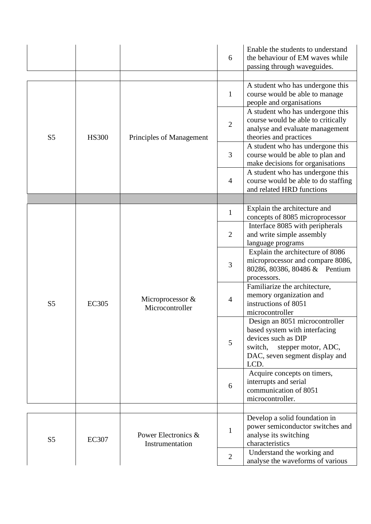|                |              |                                        | 6                                                                        | Enable the students to understand<br>the behaviour of EM waves while<br>passing through waveguides.                                                                |
|----------------|--------------|----------------------------------------|--------------------------------------------------------------------------|--------------------------------------------------------------------------------------------------------------------------------------------------------------------|
|                |              |                                        | $\mathbf{1}$                                                             | A student who has undergone this<br>course would be able to manage<br>people and organisations                                                                     |
| S <sub>5</sub> | <b>HS300</b> | Principles of Management               | $\overline{2}$                                                           | A student who has undergone this<br>course would be able to critically<br>analyse and evaluate management<br>theories and practices                                |
|                |              |                                        | 3                                                                        | A student who has undergone this<br>course would be able to plan and<br>make decisions for organisations                                                           |
|                |              |                                        | $\overline{4}$                                                           | A student who has undergone this<br>course would be able to do staffing<br>and related HRD functions                                                               |
|                |              |                                        |                                                                          |                                                                                                                                                                    |
|                |              |                                        | $\mathbf{1}$                                                             | Explain the architecture and<br>concepts of 8085 microprocessor                                                                                                    |
|                |              |                                        | $\overline{2}$                                                           | Interface 8085 with peripherals<br>and write simple assembly<br>language programs                                                                                  |
|                |              |                                        | $\mathfrak{Z}$                                                           | Explain the architecture of 8086<br>microprocessor and compare 8086,<br>80286, 80386, 80486 & Pentium                                                              |
| S <sub>5</sub> | <b>EC305</b> | Microprocessor &<br>Microcontroller    | processors.<br>$\overline{4}$<br>instructions of 8051<br>microcontroller | Familiarize the architecture,<br>memory organization and                                                                                                           |
|                |              |                                        | 5                                                                        | Design an 8051 microcontroller<br>based system with interfacing<br>devices such as DIP<br>switch,<br>stepper motor, ADC,<br>DAC, seven segment display and<br>LCD. |
|                |              |                                        | 6                                                                        | Acquire concepts on timers,<br>interrupts and serial<br>communication of 8051<br>microcontroller.                                                                  |
|                |              |                                        |                                                                          |                                                                                                                                                                    |
| S <sub>5</sub> | <b>EC307</b> | Power Electronics &<br>Instrumentation | $\mathbf{1}$                                                             | Develop a solid foundation in<br>power semiconductor switches and<br>analyse its switching<br>characteristics                                                      |
|                |              |                                        | $\overline{2}$                                                           | Understand the working and<br>analyse the waveforms of various                                                                                                     |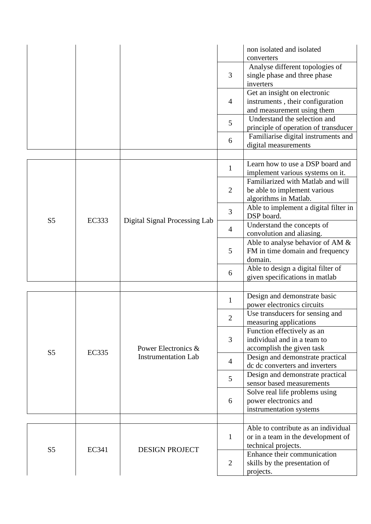|                |              |                               |                | non isolated and isolated<br>converters                                                                                        |
|----------------|--------------|-------------------------------|----------------|--------------------------------------------------------------------------------------------------------------------------------|
|                |              |                               | 3              | Analyse different topologies of<br>single phase and three phase<br>inverters                                                   |
|                |              |                               | $\overline{4}$ | Get an insight on electronic<br>instruments, their configuration<br>and measurement using them                                 |
|                |              |                               | 5              | Understand the selection and<br>principle of operation of transducer                                                           |
|                |              |                               | 6              | Familiarise digital instruments and<br>digital measurements                                                                    |
|                |              |                               | $\mathbf{1}$   | Learn how to use a DSP board and                                                                                               |
|                |              |                               | $\overline{2}$ | implement various systems on it.<br>Familiarized with Matlab and will<br>be able to implement various<br>algorithms in Matlab. |
|                |              |                               | 3              | Able to implement a digital filter in<br>DSP board.                                                                            |
| S <sub>5</sub> | <b>EC333</b> | Digital Signal Processing Lab | $\overline{4}$ | Understand the concepts of<br>convolution and aliasing.                                                                        |
|                |              |                               | 5              | Able to analyse behavior of AM &<br>FM in time domain and frequency<br>domain.                                                 |
|                |              |                               | 6              | Able to design a digital filter of<br>given specifications in matlab                                                           |
|                |              |                               |                |                                                                                                                                |
|                |              |                               | $\mathbf{1}$   | Design and demonstrate basic<br>power electronics circuits                                                                     |
|                |              | Power Electronics &           | $\overline{c}$ | Use transducers for sensing and<br>measuring applications                                                                      |
| S <sub>5</sub> |              |                               | 3              | Function effectively as an<br>individual and in a team to<br>accomplish the given task                                         |
|                | <b>EC335</b> | <b>Instrumentation Lab</b>    | $\overline{4}$ | Design and demonstrate practical<br>dc dc converters and inverters                                                             |
|                |              |                               | 5              | Design and demonstrate practical<br>sensor based measurements                                                                  |
|                |              |                               | 6              | Solve real life problems using<br>power electronics and<br>instrumentation systems                                             |
|                |              |                               |                |                                                                                                                                |
|                | EC341        | <b>DESIGN PROJECT</b>         | $\mathbf{1}$   | Able to contribute as an individual<br>or in a team in the development of<br>technical projects.                               |
| S <sub>5</sub> |              |                               | $\overline{2}$ | Enhance their communication<br>skills by the presentation of<br>projects.                                                      |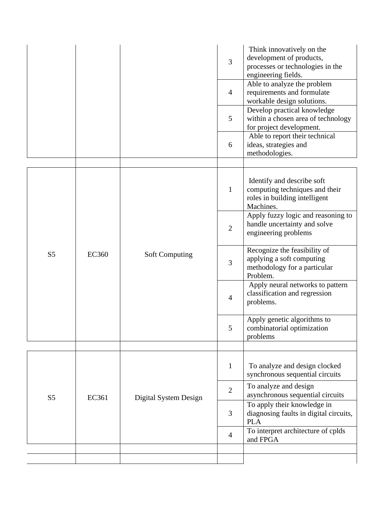|                |              |                       | 3              | Think innovatively on the<br>development of products,<br>processes or technologies in the<br>engineering fields. |
|----------------|--------------|-----------------------|----------------|------------------------------------------------------------------------------------------------------------------|
|                |              |                       | $\overline{4}$ | Able to analyze the problem<br>requirements and formulate<br>workable design solutions.                          |
|                |              |                       | 5              | Develop practical knowledge<br>within a chosen area of technology<br>for project development.                    |
|                |              |                       | 6              | Able to report their technical<br>ideas, strategies and<br>methodologies.                                        |
|                |              |                       |                |                                                                                                                  |
|                |              |                       | $\mathbf{1}$   | Identify and describe soft<br>computing techniques and their<br>roles in building intelligent<br>Machines.       |
|                | <b>EC360</b> | <b>Soft Computing</b> | $\overline{2}$ | Apply fuzzy logic and reasoning to<br>handle uncertainty and solve<br>engineering problems                       |
| S <sub>5</sub> |              |                       | 3              | Recognize the feasibility of<br>applying a soft computing<br>methodology for a particular<br>Problem.            |
|                |              |                       | $\overline{4}$ | Apply neural networks to pattern<br>classification and regression<br>problems.                                   |
|                |              |                       | 5              | Apply genetic algorithms to<br>combinatorial optimization<br>problems                                            |
|                |              |                       |                |                                                                                                                  |
|                |              |                       | $\mathbf 1$    | To analyze and design clocked<br>synchronous sequential circuits                                                 |
| S <sub>5</sub> | EC361        | Digital System Design | $\overline{2}$ | To analyze and design<br>asynchronous sequential circuits                                                        |
|                |              |                       | 3              | To apply their knowledge in<br>diagnosing faults in digital circuits,<br><b>PLA</b>                              |
|                |              |                       | $\overline{4}$ | To interpret architecture of cplds<br>and FPGA                                                                   |
|                |              |                       |                |                                                                                                                  |
|                |              |                       |                |                                                                                                                  |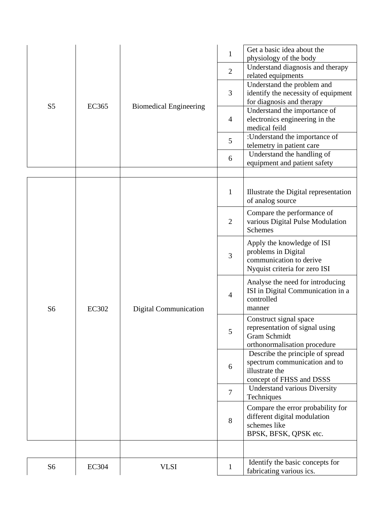|                |              |                                  | $\mathbf{1}$                                                                                                                                                                                                                                                                                                                                                                                                                                                                                                                                                                                                                                                                                                                                                                                                           | Get a basic idea about the<br>physiology of the body             |
|----------------|--------------|----------------------------------|------------------------------------------------------------------------------------------------------------------------------------------------------------------------------------------------------------------------------------------------------------------------------------------------------------------------------------------------------------------------------------------------------------------------------------------------------------------------------------------------------------------------------------------------------------------------------------------------------------------------------------------------------------------------------------------------------------------------------------------------------------------------------------------------------------------------|------------------------------------------------------------------|
|                |              | Understand diagnosis and therapy |                                                                                                                                                                                                                                                                                                                                                                                                                                                                                                                                                                                                                                                                                                                                                                                                                        |                                                                  |
|                |              |                                  |                                                                                                                                                                                                                                                                                                                                                                                                                                                                                                                                                                                                                                                                                                                                                                                                                        | related equipments                                               |
|                |              |                                  |                                                                                                                                                                                                                                                                                                                                                                                                                                                                                                                                                                                                                                                                                                                                                                                                                        |                                                                  |
|                |              |                                  | $\overline{2}$<br>Understand the problem and<br>3<br>identify the necessity of equipment<br>for diagnosis and therapy<br>Understand the importance of<br>$\overline{4}$<br>electronics engineering in the<br>medical feild<br>:Understand the importance of<br>5<br>telemetry in patient care<br>Understand the handling of<br>6<br>equipment and patient safety<br>$\mathbf{1}$<br>Illustrate the Digital representation<br>of analog source<br>Compare the performance of<br>various Digital Pulse Modulation<br>$\overline{2}$<br><b>Schemes</b><br>Apply the knowledge of ISI<br>problems in Digital<br>3<br>communication to derive<br>Nyquist criteria for zero ISI<br>Analyse the need for introducing<br>ISI in Digital Communication in a<br>$\overline{4}$<br>controlled<br>manner<br>Construct signal space |                                                                  |
| S <sub>5</sub> | <b>EC365</b> | <b>Biomedical Engineering</b>    |                                                                                                                                                                                                                                                                                                                                                                                                                                                                                                                                                                                                                                                                                                                                                                                                                        |                                                                  |
|                |              |                                  |                                                                                                                                                                                                                                                                                                                                                                                                                                                                                                                                                                                                                                                                                                                                                                                                                        |                                                                  |
|                |              |                                  |                                                                                                                                                                                                                                                                                                                                                                                                                                                                                                                                                                                                                                                                                                                                                                                                                        |                                                                  |
|                |              |                                  |                                                                                                                                                                                                                                                                                                                                                                                                                                                                                                                                                                                                                                                                                                                                                                                                                        |                                                                  |
|                |              |                                  |                                                                                                                                                                                                                                                                                                                                                                                                                                                                                                                                                                                                                                                                                                                                                                                                                        |                                                                  |
|                |              |                                  |                                                                                                                                                                                                                                                                                                                                                                                                                                                                                                                                                                                                                                                                                                                                                                                                                        |                                                                  |
|                |              |                                  |                                                                                                                                                                                                                                                                                                                                                                                                                                                                                                                                                                                                                                                                                                                                                                                                                        |                                                                  |
|                |              |                                  |                                                                                                                                                                                                                                                                                                                                                                                                                                                                                                                                                                                                                                                                                                                                                                                                                        |                                                                  |
|                |              |                                  |                                                                                                                                                                                                                                                                                                                                                                                                                                                                                                                                                                                                                                                                                                                                                                                                                        |                                                                  |
|                |              |                                  |                                                                                                                                                                                                                                                                                                                                                                                                                                                                                                                                                                                                                                                                                                                                                                                                                        |                                                                  |
|                |              |                                  |                                                                                                                                                                                                                                                                                                                                                                                                                                                                                                                                                                                                                                                                                                                                                                                                                        |                                                                  |
|                |              |                                  |                                                                                                                                                                                                                                                                                                                                                                                                                                                                                                                                                                                                                                                                                                                                                                                                                        |                                                                  |
|                |              |                                  |                                                                                                                                                                                                                                                                                                                                                                                                                                                                                                                                                                                                                                                                                                                                                                                                                        |                                                                  |
|                |              |                                  |                                                                                                                                                                                                                                                                                                                                                                                                                                                                                                                                                                                                                                                                                                                                                                                                                        |                                                                  |
|                |              |                                  |                                                                                                                                                                                                                                                                                                                                                                                                                                                                                                                                                                                                                                                                                                                                                                                                                        |                                                                  |
|                |              |                                  |                                                                                                                                                                                                                                                                                                                                                                                                                                                                                                                                                                                                                                                                                                                                                                                                                        |                                                                  |
|                |              |                                  |                                                                                                                                                                                                                                                                                                                                                                                                                                                                                                                                                                                                                                                                                                                                                                                                                        |                                                                  |
|                |              |                                  |                                                                                                                                                                                                                                                                                                                                                                                                                                                                                                                                                                                                                                                                                                                                                                                                                        |                                                                  |
|                |              |                                  |                                                                                                                                                                                                                                                                                                                                                                                                                                                                                                                                                                                                                                                                                                                                                                                                                        |                                                                  |
|                |              |                                  |                                                                                                                                                                                                                                                                                                                                                                                                                                                                                                                                                                                                                                                                                                                                                                                                                        |                                                                  |
|                |              |                                  |                                                                                                                                                                                                                                                                                                                                                                                                                                                                                                                                                                                                                                                                                                                                                                                                                        |                                                                  |
|                |              |                                  |                                                                                                                                                                                                                                                                                                                                                                                                                                                                                                                                                                                                                                                                                                                                                                                                                        |                                                                  |
| S <sub>6</sub> | <b>EC302</b> | <b>Digital Communication</b>     |                                                                                                                                                                                                                                                                                                                                                                                                                                                                                                                                                                                                                                                                                                                                                                                                                        |                                                                  |
|                |              |                                  |                                                                                                                                                                                                                                                                                                                                                                                                                                                                                                                                                                                                                                                                                                                                                                                                                        |                                                                  |
|                |              |                                  | 5                                                                                                                                                                                                                                                                                                                                                                                                                                                                                                                                                                                                                                                                                                                                                                                                                      | representation of signal using                                   |
|                |              |                                  |                                                                                                                                                                                                                                                                                                                                                                                                                                                                                                                                                                                                                                                                                                                                                                                                                        | <b>Gram Schmidt</b>                                              |
|                |              |                                  |                                                                                                                                                                                                                                                                                                                                                                                                                                                                                                                                                                                                                                                                                                                                                                                                                        | orthonormalisation procedure<br>Describe the principle of spread |
|                |              |                                  |                                                                                                                                                                                                                                                                                                                                                                                                                                                                                                                                                                                                                                                                                                                                                                                                                        | spectrum communication and to                                    |
|                |              |                                  | 6                                                                                                                                                                                                                                                                                                                                                                                                                                                                                                                                                                                                                                                                                                                                                                                                                      | illustrate the                                                   |
|                |              |                                  |                                                                                                                                                                                                                                                                                                                                                                                                                                                                                                                                                                                                                                                                                                                                                                                                                        | concept of FHSS and DSSS                                         |
|                |              |                                  |                                                                                                                                                                                                                                                                                                                                                                                                                                                                                                                                                                                                                                                                                                                                                                                                                        | Understand various Diversity                                     |
|                |              |                                  | $\overline{7}$                                                                                                                                                                                                                                                                                                                                                                                                                                                                                                                                                                                                                                                                                                                                                                                                         | Techniques                                                       |
|                |              |                                  |                                                                                                                                                                                                                                                                                                                                                                                                                                                                                                                                                                                                                                                                                                                                                                                                                        | Compare the error probability for                                |
|                |              |                                  | 8                                                                                                                                                                                                                                                                                                                                                                                                                                                                                                                                                                                                                                                                                                                                                                                                                      | different digital modulation                                     |
|                |              |                                  |                                                                                                                                                                                                                                                                                                                                                                                                                                                                                                                                                                                                                                                                                                                                                                                                                        | schemes like                                                     |
|                |              |                                  |                                                                                                                                                                                                                                                                                                                                                                                                                                                                                                                                                                                                                                                                                                                                                                                                                        | BPSK, BFSK, QPSK etc.                                            |
|                |              |                                  |                                                                                                                                                                                                                                                                                                                                                                                                                                                                                                                                                                                                                                                                                                                                                                                                                        |                                                                  |
|                |              |                                  |                                                                                                                                                                                                                                                                                                                                                                                                                                                                                                                                                                                                                                                                                                                                                                                                                        |                                                                  |
| S <sub>6</sub> | <b>EC304</b> | <b>VLSI</b>                      | $\mathbf{1}$                                                                                                                                                                                                                                                                                                                                                                                                                                                                                                                                                                                                                                                                                                                                                                                                           | Identify the basic concepts for                                  |
|                |              |                                  |                                                                                                                                                                                                                                                                                                                                                                                                                                                                                                                                                                                                                                                                                                                                                                                                                        | fabricating various ics.                                         |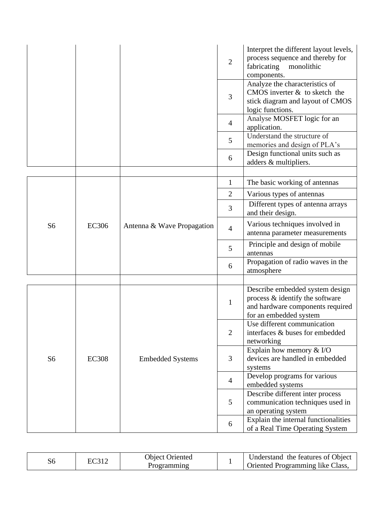|                |              |                            | $\overline{2}$ | Interpret the different layout levels,<br>process sequence and thereby for<br>fabricating<br>monolithic<br>components.           |
|----------------|--------------|----------------------------|----------------|----------------------------------------------------------------------------------------------------------------------------------|
|                |              |                            | 3              | Analyze the characteristics of<br>CMOS inverter $&$ to sketch the<br>stick diagram and layout of CMOS<br>logic functions.        |
|                |              |                            | $\overline{4}$ | Analyse MOSFET logic for an<br>application.                                                                                      |
|                |              |                            | 5              | Understand the structure of<br>memories and design of PLA's                                                                      |
|                |              |                            | 6              | Design functional units such as<br>adders & multipliers.                                                                         |
|                |              |                            |                |                                                                                                                                  |
|                |              |                            | $\mathbf{1}$   | The basic working of antennas                                                                                                    |
|                |              | Antenna & Wave Propagation | $\overline{2}$ | Various types of antennas                                                                                                        |
|                | <b>EC306</b> |                            | 3              | Different types of antenna arrays<br>and their design.                                                                           |
| S <sub>6</sub> |              |                            | $\overline{4}$ | Various techniques involved in<br>antenna parameter measurements                                                                 |
|                |              |                            | 5              | Principle and design of mobile<br>antennas                                                                                       |
|                |              |                            | 6              | Propagation of radio waves in the<br>atmosphere                                                                                  |
|                |              |                            |                |                                                                                                                                  |
|                |              |                            | $\mathbf{1}$   | Describe embedded system design<br>process & identify the software<br>and hardware components required<br>for an embedded system |
|                |              |                            | $\overline{2}$ | Use different communication<br>interfaces & buses for embedded<br>networking                                                     |
| S <sub>6</sub> | <b>EC308</b> | <b>Embedded Systems</b>    | 3              | Explain how memory & I/O<br>devices are handled in embedded<br>systems                                                           |
|                |              |                            | $\overline{4}$ | Develop programs for various<br>embedded systems                                                                                 |
|                |              |                            | 5              | Describe different inter process<br>communication techniques used in<br>an operating system                                      |
|                |              |                            | 6              | Explain the internal functionalities<br>of a Real Time Operating System                                                          |

| эc |  | <b>Object Oriented</b><br>rogramming |  | Understand the features of Object<br>Oriented Programming like Class, |
|----|--|--------------------------------------|--|-----------------------------------------------------------------------|
|----|--|--------------------------------------|--|-----------------------------------------------------------------------|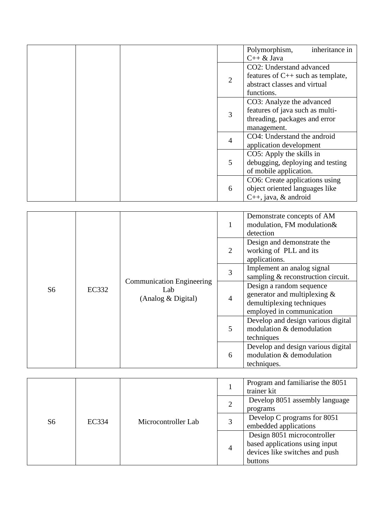|  |  |                           |                                | inheritance in<br>Polymorphism,        |
|--|--|---------------------------|--------------------------------|----------------------------------------|
|  |  |                           |                                | $C++ & Java$                           |
|  |  |                           | CO2: Understand advanced       |                                        |
|  |  |                           | $\overline{2}$                 | features of $C_{++}$ such as template, |
|  |  |                           |                                | abstract classes and virtual           |
|  |  |                           |                                | functions.                             |
|  |  | CO3: Analyze the advanced |                                |                                        |
|  |  |                           | 3                              | features of java such as multi-        |
|  |  |                           |                                | threading, packages and error          |
|  |  |                           | management.                    |                                        |
|  |  |                           | 4                              | CO4: Understand the android            |
|  |  |                           |                                | application development                |
|  |  |                           |                                | CO5: Apply the skills in               |
|  |  |                           | 5                              | debugging, deploying and testing       |
|  |  |                           |                                | of mobile application.                 |
|  |  |                           | CO6: Create applications using |                                        |
|  |  |                           | 6                              | object oriented languages like         |
|  |  |                           |                                | $C_{++}$ , java, & android             |

|                |       |                                                                                                                        |                                                                                        | Demonstrate concepts of AM<br>modulation, FM modulation&<br>detection                        |  |  |
|----------------|-------|------------------------------------------------------------------------------------------------------------------------|----------------------------------------------------------------------------------------|----------------------------------------------------------------------------------------------|--|--|
| S <sub>6</sub> |       |                                                                                                                        | 2                                                                                      | Design and demonstrate the<br>working of PLL and its<br>applications.                        |  |  |
|                |       |                                                                                                                        | 3                                                                                      | Implement an analog signal<br>sampling & reconstruction circuit.<br>Design a random sequence |  |  |
|                | EC332 | <b>Communication Engineering</b><br>Lab<br>(Analog & Digital)<br>$\overline{4}$<br>5<br>techniques<br>6<br>techniques. | generator and multiplexing &<br>demultiplexing techniques<br>employed in communication |                                                                                              |  |  |
|                |       |                                                                                                                        |                                                                                        | Develop and design various digital<br>modulation & demodulation                              |  |  |
|                |       |                                                                                                                        |                                                                                        | Develop and design various digital<br>modulation & demodulation                              |  |  |

| S <sub>6</sub> |       |                     | Program and familiarise the 8051<br>trainer kit<br>Develop 8051 assembly language<br>programs<br>Develop C programs for 8051<br>3<br>embedded applications<br>Design 8051 microcontroller<br>based applications using input<br>$\overline{4}$ |                                |  |  |
|----------------|-------|---------------------|-----------------------------------------------------------------------------------------------------------------------------------------------------------------------------------------------------------------------------------------------|--------------------------------|--|--|
|                |       |                     |                                                                                                                                                                                                                                               |                                |  |  |
|                |       |                     |                                                                                                                                                                                                                                               |                                |  |  |
|                | EC334 | Microcontroller Lab |                                                                                                                                                                                                                                               |                                |  |  |
|                |       |                     |                                                                                                                                                                                                                                               |                                |  |  |
|                |       |                     |                                                                                                                                                                                                                                               |                                |  |  |
|                |       |                     |                                                                                                                                                                                                                                               |                                |  |  |
|                |       |                     |                                                                                                                                                                                                                                               | devices like switches and push |  |  |
|                |       |                     |                                                                                                                                                                                                                                               | buttons                        |  |  |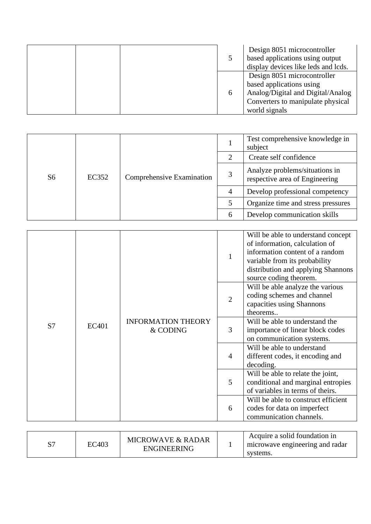|  |          | Design 8051 microcontroller<br>based applications using output<br>display devices like leds and lcds.                                              |
|--|----------|----------------------------------------------------------------------------------------------------------------------------------------------------|
|  | $\sigma$ | Design 8051 microcontroller<br>based applications using<br>Analog/Digital and Digital/Analog<br>Converters to manipulate physical<br>world signals |

|                |       |                           |   | Test comprehensive knowledge in<br>subject                       |
|----------------|-------|---------------------------|---|------------------------------------------------------------------|
|                |       |                           | 2 | Create self confidence                                           |
| S <sub>6</sub> | EC352 | Comprehensive Examination | 3 | Analyze problems/situations in<br>respective area of Engineering |
|                |       |                           | 4 | Develop professional competency                                  |
|                |       |                           |   | Organize time and stress pressures                               |
|                |       |                           | 6 | Develop communication skills                                     |

|    |       | <b>INFORMATION THEORY</b><br>& CODING | $\mathbf{1}$   | Will be able to understand concept<br>of information, calculation of<br>information content of a random<br>variable from its probability<br>distribution and applying Shannons<br>source coding theorem. |
|----|-------|---------------------------------------|----------------|----------------------------------------------------------------------------------------------------------------------------------------------------------------------------------------------------------|
|    |       |                                       | $\overline{2}$ | Will be able analyze the various<br>coding schemes and channel<br>capacities using Shannons<br>theorems                                                                                                  |
| S7 | EC401 |                                       | 3              | Will be able to understand the<br>importance of linear block codes<br>on communication systems.                                                                                                          |
|    |       |                                       | $\overline{4}$ | Will be able to understand<br>different codes, it encoding and<br>decoding.                                                                                                                              |
|    |       |                                       | 5              | Will be able to relate the joint,<br>conditional and marginal entropies<br>of variables in terms of theirs.                                                                                              |
|    |       |                                       | 6              | Will be able to construct efficient<br>codes for data on imperfect<br>communication channels.                                                                                                            |

| σΞ | EC403 | <b>MICROWAVE &amp; RADAR</b><br><b>ENGINEERING</b> |  | Acquire a solid foundation in<br>microwave engineering and radar<br>systems. |
|----|-------|----------------------------------------------------|--|------------------------------------------------------------------------------|
|----|-------|----------------------------------------------------|--|------------------------------------------------------------------------------|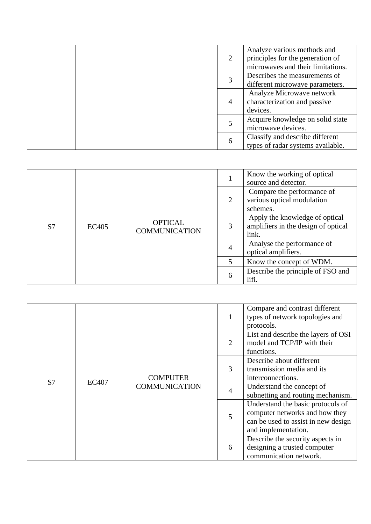| 2 | Analyze various methods and<br>principles for the generation of<br>microwaves and their limitations. |
|---|------------------------------------------------------------------------------------------------------|
|   | Describes the measurements of<br>different microwave parameters.                                     |
| 4 | Analyze Microwave network<br>characterization and passive<br>devices.                                |
|   | Acquire knowledge on solid state<br>microwave devices.                                               |
| 6 | Classify and describe different<br>types of radar systems available.                                 |

|  | <b>OPTICAL</b><br>S7<br>EC405<br><b>COMMUNICATION</b> |   |                                                                                | Know the working of optical<br>source and detector.                  |
|--|-------------------------------------------------------|---|--------------------------------------------------------------------------------|----------------------------------------------------------------------|
|  |                                                       |   | 2                                                                              | Compare the performance of<br>various optical modulation<br>schemes. |
|  |                                                       | 3 | Apply the knowledge of optical<br>amplifiers in the design of optical<br>link. |                                                                      |
|  |                                                       |   | $\overline{4}$                                                                 | Analyse the performance of<br>optical amplifiers.                    |
|  |                                                       |   | 5                                                                              | Know the concept of WDM.                                             |
|  |                                                       |   | 6                                                                              | Describe the principle of FSO and<br>lifi.                           |

| S7<br><b>EC407</b> |                 |                      |                                                                             | Compare and contrast different<br>types of network topologies and<br>protocols.                                                   |
|--------------------|-----------------|----------------------|-----------------------------------------------------------------------------|-----------------------------------------------------------------------------------------------------------------------------------|
|                    |                 |                      | 2                                                                           | List and describe the layers of OSI<br>model and TCP/IP with their<br>functions.                                                  |
|                    | <b>COMPUTER</b> | 3                    | Describe about different<br>transmission media and its<br>interconnections. |                                                                                                                                   |
|                    |                 | <b>COMMUNICATION</b> | $\overline{4}$                                                              | Understand the concept of<br>subnetting and routing mechanism.                                                                    |
|                    |                 |                      | 5                                                                           | Understand the basic protocols of<br>computer networks and how they<br>can be used to assist in new design<br>and implementation. |
|                    |                 |                      | 6                                                                           | Describe the security aspects in<br>designing a trusted computer<br>communication network.                                        |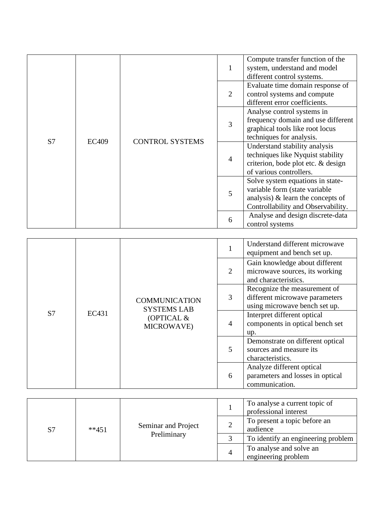|    |                                        |   | $\mathbf{1}$                                                                                                                                    | Compute transfer function of the<br>system, understand and model<br>different control systems.                                      |
|----|----------------------------------------|---|-------------------------------------------------------------------------------------------------------------------------------------------------|-------------------------------------------------------------------------------------------------------------------------------------|
| S7 | <b>CONTROL SYSTEMS</b><br><b>EC409</b> |   | 2                                                                                                                                               | Evaluate time domain response of<br>control systems and compute<br>different error coefficients.                                    |
|    |                                        |   | 3                                                                                                                                               | Analyse control systems in<br>frequency domain and use different<br>graphical tools like root locus<br>techniques for analysis.     |
|    |                                        |   | $\overline{4}$                                                                                                                                  | Understand stability analysis<br>techniques like Nyquist stability<br>criterion, bode plot etc. & design<br>of various controllers. |
|    |                                        | 5 | Solve system equations in state-<br>variable form (state variable<br>analysis) $\&$ learn the concepts of<br>Controllability and Observability. |                                                                                                                                     |
|    |                                        |   | 6                                                                                                                                               | Analyse and design discrete-data<br>control systems                                                                                 |

|  |                                                                                                   |                |                                                                                                 | Understand different microwave<br>equipment and bench set up.                   |
|--|---------------------------------------------------------------------------------------------------|----------------|-------------------------------------------------------------------------------------------------|---------------------------------------------------------------------------------|
|  |                                                                                                   | 2              | Gain knowledge about different<br>microwave sources, its working<br>and characteristics.        |                                                                                 |
|  | <b>COMMUNICATION</b><br><b>SYSTEMS LAB</b><br>S <sub>7</sub><br>EC431<br>(OPTICAL &<br>MICROWAVE) | 3              | Recognize the measurement of<br>different microwave parameters<br>using microwave bench set up. |                                                                                 |
|  |                                                                                                   | $\overline{4}$ | Interpret different optical<br>components in optical bench set<br>up.                           |                                                                                 |
|  |                                                                                                   | 5              | Demonstrate on different optical<br>sources and measure its<br>characteristics.                 |                                                                                 |
|  |                                                                                                   |                | 6                                                                                               | Analyze different optical<br>parameters and losses in optical<br>communication. |

| S7 | Seminar and Project<br>$**451$<br>Preliminary |   |                                                | To analyse a current topic of<br>professional interest |
|----|-----------------------------------------------|---|------------------------------------------------|--------------------------------------------------------|
|    |                                               |   |                                                | To present a topic before an<br>audience               |
|    |                                               |   |                                                | To identify an engineering problem                     |
|    |                                               | 4 | To analyse and solve an<br>engineering problem |                                                        |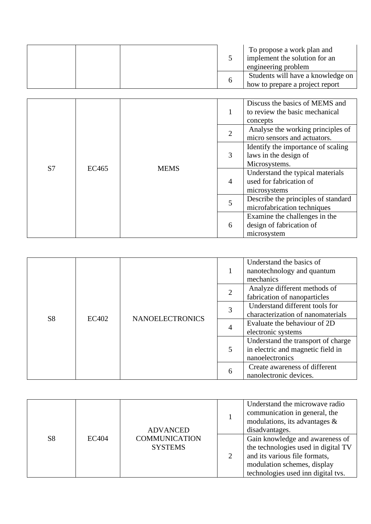|  | To propose a work plan and<br>implement the solution for an<br>engineering problem |
|--|------------------------------------------------------------------------------------|
|  | Students will have a knowledge on<br>how to prepare a project report               |

| S7<br>EC465 |  |             | 1                                                                        | Discuss the basics of MEMS and<br>to review the basic mechanical<br>concepts |
|-------------|--|-------------|--------------------------------------------------------------------------|------------------------------------------------------------------------------|
|             |  |             | $\overline{2}$                                                           | Analyse the working principles of<br>micro sensors and actuators.            |
|             |  |             | 3                                                                        | Identify the importance of scaling<br>laws in the design of<br>Microsystems. |
|             |  | <b>MEMS</b> | $\overline{4}$                                                           | Understand the typical materials<br>used for fabrication of<br>microsystems  |
|             |  |             | 5                                                                        | Describe the principles of standard<br>microfabrication techniques           |
|             |  | 6           | Examine the challenges in the<br>design of fabrication of<br>microsystem |                                                                              |

|                |       |                        |                | Understand the basics of<br>nanotechnology and quantum<br>mechanics |
|----------------|-------|------------------------|----------------|---------------------------------------------------------------------|
|                |       |                        | $\overline{2}$ | Analyze different methods of<br>fabrication of nanoparticles        |
|                |       |                        |                | Understand different tools for                                      |
| S <sub>8</sub> | EC402 | <b>NANOELECTRONICS</b> | 3              | characterization of nanomaterials                                   |
|                |       |                        | 4              | Evaluate the behaviour of 2D                                        |
|                |       |                        |                | electronic systems                                                  |
|                |       |                        |                | Understand the transport of charge                                  |
|                |       |                        | 5              | in electric and magnetic field in                                   |
|                |       |                        |                | nanoelectronics                                                     |
|                |       |                        |                | Create awareness of different                                       |
|                |       |                        | 6              | nanolectronic devices.                                              |

|                |              | <b>ADVANCED</b>                        | Understand the microwave radio<br>communication in general, the<br>modulations, its advantages &<br>disadvantages.                                                           |
|----------------|--------------|----------------------------------------|------------------------------------------------------------------------------------------------------------------------------------------------------------------------------|
| S <sub>8</sub> | <b>EC404</b> | <b>COMMUNICATION</b><br><b>SYSTEMS</b> | Gain knowledge and awareness of<br>the technologies used in digital TV<br>and its various file formats,<br>modulation schemes, display<br>technologies used inn digital tvs. |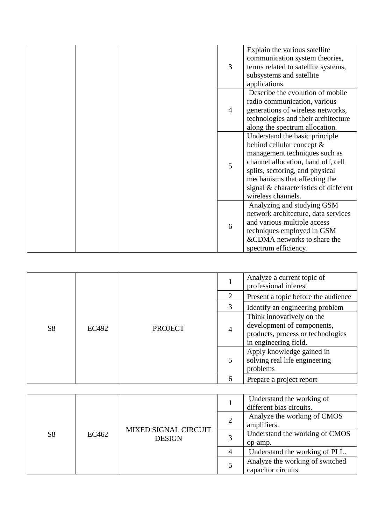|  | 3              | Explain the various satellite<br>communication system theories,<br>terms related to satellite systems,<br>subsystems and satellite                                                                                                                                    |
|--|----------------|-----------------------------------------------------------------------------------------------------------------------------------------------------------------------------------------------------------------------------------------------------------------------|
|  |                | applications.<br>Describe the evolution of mobile<br>radio communication, various                                                                                                                                                                                     |
|  | $\overline{4}$ | generations of wireless networks,<br>technologies and their architecture<br>along the spectrum allocation.                                                                                                                                                            |
|  | 5              | Understand the basic principle<br>behind cellular concept &<br>management techniques such as<br>channel allocation, hand off, cell<br>splits, sectoring, and physical<br>mechanisms that affecting the<br>signal & characteristics of different<br>wireless channels. |
|  | 6              | Analyzing and studying GSM<br>network architecture, data services<br>and various multiple access<br>techniques employed in GSM<br>&CDMA networks to share the<br>spectrum efficiency.                                                                                 |

|                |              |                |                | Analyze a current topic of<br>professional interest                                                                   |
|----------------|--------------|----------------|----------------|-----------------------------------------------------------------------------------------------------------------------|
|                |              |                | 2              | Present a topic before the audience                                                                                   |
|                |              |                | 3              | Identify an engineering problem                                                                                       |
| S <sub>8</sub> | <b>EC492</b> | <b>PROJECT</b> | $\overline{4}$ | Think innovatively on the<br>development of components,<br>products, process or technologies<br>in engineering field. |
|                |              |                | 5              | Apply knowledge gained in<br>solving real life engineering<br>problems                                                |
|                |              |                | 6              | Prepare a project report                                                                                              |

|                |       |                                              | Understand the working of<br>different bias circuits.  |
|----------------|-------|----------------------------------------------|--------------------------------------------------------|
|                |       |                                              | Analyze the working of CMOS<br>amplifiers.             |
| S <sub>8</sub> | EC462 | <b>MIXED SIGNAL CIRCUIT</b><br><b>DESIGN</b> | Understand the working of CMOS<br>op-amp.              |
|                |       |                                              | Understand the working of PLL.                         |
|                |       |                                              | Analyze the working of switched<br>capacitor circuits. |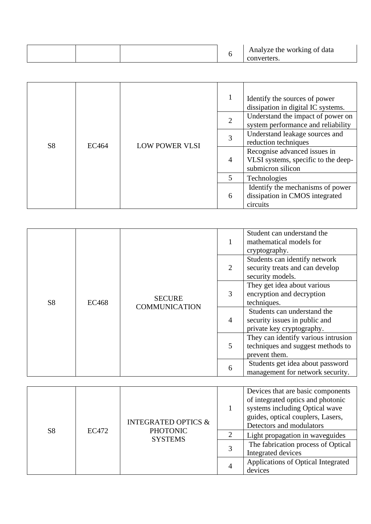|  |  |  |  | Analyze the working of data<br>converters. |
|--|--|--|--|--------------------------------------------|
|--|--|--|--|--------------------------------------------|

|                |              |                       |                | Identify the sources of power<br>dissipation in digital IC systems.                      |
|----------------|--------------|-----------------------|----------------|------------------------------------------------------------------------------------------|
|                |              |                       | $\overline{2}$ | Understand the impact of power on<br>system performance and reliability                  |
| S <sub>8</sub> | <b>EC464</b> | <b>LOW POWER VLSI</b> | 3              | Understand leakage sources and<br>reduction techniques                                   |
|                |              |                       | $\overline{4}$ | Recognise advanced issues in<br>VLSI systems, specific to the deep-<br>submicron silicon |
|                |              |                       | 5              | Technologies                                                                             |
|                |              |                       | 6              | Identify the mechanisms of power<br>dissipation in CMOS integrated<br>circuits           |

|                |       |                                       |                | Student can understand the<br>mathematical models for<br>cryptography.                    |
|----------------|-------|---------------------------------------|----------------|-------------------------------------------------------------------------------------------|
|                |       |                                       | 2              | Students can identify network<br>security treats and can develop<br>security models.      |
| S <sub>8</sub> | EC468 | <b>SECURE</b><br><b>COMMUNICATION</b> | 3              | They get idea about various<br>encryption and decryption<br>techniques.                   |
|                |       |                                       | $\overline{4}$ | Students can understand the<br>security issues in public and<br>private key cryptography. |
|                |       |                                       | 5              | They can identify various intrusion<br>techniques and suggest methods to<br>prevent them. |
|                |       |                                       | 6              | Students get idea about password<br>management for network security.                      |

|                |       | <b>INTEGRATED OPTICS &amp;</b>    |   | Devices that are basic components<br>of integrated optics and photonic<br>systems including Optical wave<br>guides, optical couplers, Lasers,<br>Detectors and modulators |
|----------------|-------|-----------------------------------|---|---------------------------------------------------------------------------------------------------------------------------------------------------------------------------|
| S <sub>8</sub> | EC472 | <b>PHOTONIC</b><br><b>SYSTEMS</b> | ∍ | Light propagation in waveguides                                                                                                                                           |
|                |       |                                   |   | The fabrication process of Optical<br>Integrated devices                                                                                                                  |
|                |       |                                   | 4 | Applications of Optical Integrated<br>devices                                                                                                                             |